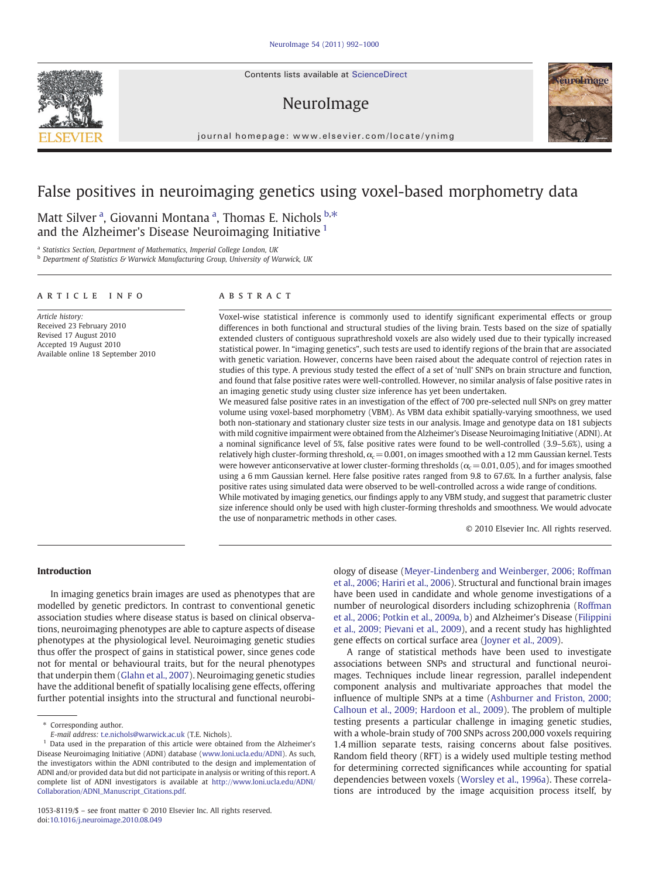Contents lists available at ScienceDirect

# NeuroImage



journal homepage: www.elsevier.com/locate/ynimg

## False positives in neuroimaging genetics using voxel-based morphometry data

Matt Silver<sup>a</sup>, Giovanni Montana<sup>a</sup>, Thomas E. Nichols <sup>b,\*</sup> and the Alzheimer's Disease Neuroimaging Initiative <sup>1</sup>

<sup>a</sup> Statistics Section, Department of Mathematics, Imperial College London, UK

**b** Department of Statistics & Warwick Manufacturing Group, University of Warwick, UK

#### article info abstract

Article history: Received 23 February 2010 Revised 17 August 2010 Accepted 19 August 2010 Available online 18 September 2010 Voxel-wise statistical inference is commonly used to identify significant experimental effects or group differences in both functional and structural studies of the living brain. Tests based on the size of spatially extended clusters of contiguous suprathreshold voxels are also widely used due to their typically increased statistical power. In "imaging genetics", such tests are used to identify regions of the brain that are associated with genetic variation. However, concerns have been raised about the adequate control of rejection rates in studies of this type. A previous study tested the effect of a set of 'null' SNPs on brain structure and function, and found that false positive rates were well-controlled. However, no similar analysis of false positive rates in an imaging genetic study using cluster size inference has yet been undertaken.

We measured false positive rates in an investigation of the effect of 700 pre-selected null SNPs on grey matter volume using voxel-based morphometry (VBM). As VBM data exhibit spatially-varying smoothness, we used both non-stationary and stationary cluster size tests in our analysis. Image and genotype data on 181 subjects with mild cognitive impairment were obtained from the Alzheimer's Disease Neuroimaging Initiative (ADNI). At a nominal significance level of 5%, false positive rates were found to be well-controlled (3.9–5.6%), using a relatively high cluster-forming threshold,  $\alpha_c$  = 0.001, on images smoothed with a 12 mm Gaussian kernel. Tests were however anticonservative at lower cluster-forming thresholds ( $\alpha_c$  = 0.01, 0.05), and for images smoothed using a 6 mm Gaussian kernel. Here false positive rates ranged from 9.8 to 67.6%. In a further analysis, false positive rates using simulated data were observed to be well-controlled across a wide range of conditions. While motivated by imaging genetics, our findings apply to any VBM study, and suggest that parametric cluster

size inference should only be used with high cluster-forming thresholds and smoothness. We would advocate the use of nonparametric methods in other cases.

© 2010 Elsevier Inc. All rights reserved.

### Introduction

In imaging genetics brain images are used as phenotypes that are modelled by genetic predictors. In contrast to conventional genetic association studies where disease status is based on clinical observations, neuroimaging phenotypes are able to capture aspects of disease phenotypes at the physiological level. Neuroimaging genetic studies thus offer the prospect of gains in statistical power, since genes code not for mental or behavioural traits, but for the neural phenotypes that underpin them [\(Glahn et al., 2007\)](#page-8-0). Neuroimaging genetic studies have the additional benefit of spatially localising gene effects, offering further potential insights into the structural and functional neurobi-

⁎ Corresponding author.

ology of disease ([Meyer-Lindenberg and Weinberger, 2006; Roffman](#page-8-0) [et al., 2006; Hariri et al., 2006](#page-8-0)). Structural and functional brain images have been used in candidate and whole genome investigations of a number of neurological disorders including schizophrenia [\(Roffman](#page-8-0) [et al., 2006; Potkin et al., 2009a, b\)](#page-8-0) and Alzheimer's Disease ([Filippini](#page-8-0) [et al., 2009; Pievani et al., 2009](#page-8-0)), and a recent study has highlighted gene effects on cortical surface area ([Joyner et al., 2009\)](#page-8-0).

A range of statistical methods have been used to investigate associations between SNPs and structural and functional neuroimages. Techniques include linear regression, parallel independent component analysis and multivariate approaches that model the influence of multiple SNPs at a time ([Ashburner and Friston, 2000;](#page-7-0) [Calhoun et al., 2009; Hardoon et al., 2009](#page-7-0)). The problem of multiple testing presents a particular challenge in imaging genetic studies, with a whole-brain study of 700 SNPs across 200,000 voxels requiring 1.4 million separate tests, raising concerns about false positives. Random field theory (RFT) is a widely used multiple testing method for determining corrected significances while accounting for spatial dependencies between voxels ([Worsley et al., 1996a](#page-8-0)). These correlations are introduced by the image acquisition process itself, by



E-mail address: [t.e.nichols@warwick.ac.uk](mailto:t.e.nichols@warwick.ac.uk) (T.E. Nichols).

<sup>&</sup>lt;sup>1</sup> Data used in the preparation of this article were obtained from the Alzheimer's Disease Neuroimaging Initiative (ADNI) database ([www.loni.ucla.edu/ADNI](http://www.loni.ucla.edu/ADNI)). As such, the investigators within the ADNI contributed to the design and implementation of ADNI and/or provided data but did not participate in analysis or writing of this report. A complete list of ADNI investigators is available at [http://www.loni.ucla.edu/ADNI/](http://www.loni.ucla.edu/ADNI/Collaboration/ADNI_Manuscript_Citations.pdf) [Collaboration/ADNI\\_Manuscript\\_Citations.pdf.](http://www.loni.ucla.edu/ADNI/Collaboration/ADNI_Manuscript_Citations.pdf)

<sup>1053-8119/\$</sup> – see front matter © 2010 Elsevier Inc. All rights reserved. doi[:10.1016/j.neuroimage.2010.08.049](http://dx.doi.org/10.1016/j.neuroimage.2010.08.049)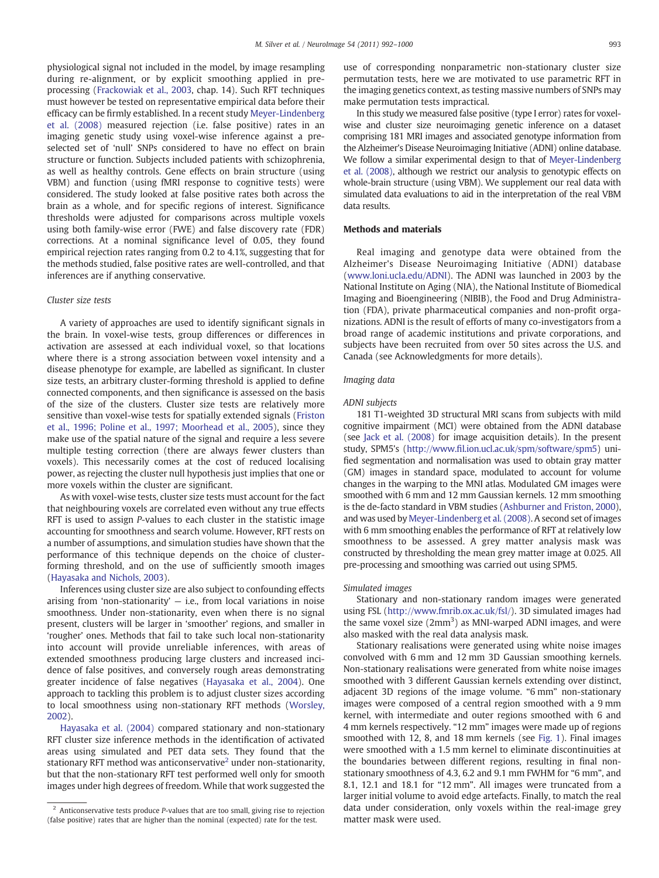<span id="page-1-0"></span>physiological signal not included in the model, by image resampling during re-alignment, or by explicit smoothing applied in preprocessing ([Frackowiak et al., 2003](#page-8-0), chap. 14). Such RFT techniques must however be tested on representative empirical data before their efficacy can be firmly established. In a recent study [Meyer-Lindenberg](#page-8-0) [et al. \(2008\)](#page-8-0) measured rejection (i.e. false positive) rates in an imaging genetic study using voxel-wise inference against a preselected set of 'null' SNPs considered to have no effect on brain structure or function. Subjects included patients with schizophrenia, as well as healthy controls. Gene effects on brain structure (using VBM) and function (using fMRI response to cognitive tests) were considered. The study looked at false positive rates both across the brain as a whole, and for specific regions of interest. Significance thresholds were adjusted for comparisons across multiple voxels using both family-wise error (FWE) and false discovery rate (FDR) corrections. At a nominal significance level of 0.05, they found empirical rejection rates ranging from 0.2 to 4.1%, suggesting that for the methods studied, false positive rates are well-controlled, and that inferences are if anything conservative.

#### Cluster size tests

A variety of approaches are used to identify significant signals in the brain. In voxel-wise tests, group differences or differences in activation are assessed at each individual voxel, so that locations where there is a strong association between voxel intensity and a disease phenotype for example, are labelled as significant. In cluster size tests, an arbitrary cluster-forming threshold is applied to define connected components, and then significance is assessed on the basis of the size of the clusters. Cluster size tests are relatively more sensitive than voxel-wise tests for spatially extended signals [\(Friston](#page-8-0) [et al., 1996; Poline et al., 1997; Moorhead et al., 2005\)](#page-8-0), since they make use of the spatial nature of the signal and require a less severe multiple testing correction (there are always fewer clusters than voxels). This necessarily comes at the cost of reduced localising power, as rejecting the cluster null hypothesis just implies that one or more voxels within the cluster are significant.

As with voxel-wise tests, cluster size tests must account for the fact that neighbouring voxels are correlated even without any true effects RFT is used to assign P-values to each cluster in the statistic image accounting for smoothness and search volume. However, RFT rests on a number of assumptions, and simulation studies have shown that the performance of this technique depends on the choice of clusterforming threshold, and on the use of sufficiently smooth images [\(Hayasaka and Nichols, 2003](#page-8-0)).

Inferences using cluster size are also subject to confounding effects arising from 'non-stationarity'  $-$  i.e., from local variations in noise smoothness. Under non-stationarity, even when there is no signal present, clusters will be larger in 'smoother' regions, and smaller in 'rougher' ones. Methods that fail to take such local non-stationarity into account will provide unreliable inferences, with areas of extended smoothness producing large clusters and increased incidence of false positives, and conversely rough areas demonstrating greater incidence of false negatives ([Hayasaka et al., 2004](#page-8-0)). One approach to tackling this problem is to adjust cluster sizes according to local smoothness using non-stationary RFT methods ([Worsley,](#page-8-0) [2002\)](#page-8-0).

[Hayasaka et al. \(2004\)](#page-8-0) compared stationary and non-stationary RFT cluster size inference methods in the identification of activated areas using simulated and PET data sets. They found that the stationary RFT method was anticonservative<sup>2</sup> under non-stationarity, but that the non-stationary RFT test performed well only for smooth images under high degrees of freedom. While that work suggested the use of corresponding nonparametric non-stationary cluster size permutation tests, here we are motivated to use parametric RFT in the imaging genetics context, as testing massive numbers of SNPs may make permutation tests impractical.

In this study we measured false positive (type I error) rates for voxelwise and cluster size neuroimaging genetic inference on a dataset comprising 181 MRI images and associated genotype information from the Alzheimer's Disease Neuroimaging Initiative (ADNI) online database. We follow a similar experimental design to that of [Meyer-Lindenberg](#page-8-0) [et al. \(2008\)](#page-8-0), although we restrict our analysis to genotypic effects on whole-brain structure (using VBM). We supplement our real data with simulated data evaluations to aid in the interpretation of the real VBM data results.

#### Methods and materials

Real imaging and genotype data were obtained from the Alzheimer's Disease Neuroimaging Initiative (ADNI) database [\(www.loni.ucla.edu/ADNI](http://www.loni.ucla.edu/ADNI)). The ADNI was launched in 2003 by the National Institute on Aging (NIA), the National Institute of Biomedical Imaging and Bioengineering (NIBIB), the Food and Drug Administration (FDA), private pharmaceutical companies and non-profit organizations. ADNI is the result of efforts of many co-investigators from a broad range of academic institutions and private corporations, and subjects have been recruited from over 50 sites across the U.S. and Canada (see Acknowledgments for more details).

#### Imaging data

#### ADNI subjects

181 T1-weighted 3D structural MRI scans from subjects with mild cognitive impairment (MCI) were obtained from the ADNI database (see [Jack et al. \(2008\)](#page-8-0) for image acquisition details). In the present study, SPM5's (http://www.fi[l.ion.ucl.ac.uk/spm/software/spm5\)](http://www.fil.ion.ucl.ac.uk/spm/software/spm5) unified segmentation and normalisation was used to obtain gray matter (GM) images in standard space, modulated to account for volume changes in the warping to the MNI atlas. Modulated GM images were smoothed with 6 mm and 12 mm Gaussian kernels. 12 mm smoothing is the de-facto standard in VBM studies [\(Ashburner and Friston, 2000](#page-7-0)), and was used by [Meyer-Lindenberg et al. \(2008\).](#page-8-0) A second set of images with 6 mm smoothing enables the performance of RFT at relatively low smoothness to be assessed. A grey matter analysis mask was constructed by thresholding the mean grey matter image at 0.025. All pre-processing and smoothing was carried out using SPM5.

#### Simulated images

Stationary and non-stationary random images were generated using FSL [\(http://www.fmrib.ox.ac.uk/fsl/\)](http://www.fmrib.ox.ac.uk/fsl/). 3D simulated images had the same voxel size  $(2mm^3)$  as MNI-warped ADNI images, and were also masked with the real data analysis mask.

Stationary realisations were generated using white noise images convolved with 6 mm and 12 mm 3D Gaussian smoothing kernels. Non-stationary realisations were generated from white noise images smoothed with 3 different Gaussian kernels extending over distinct, adjacent 3D regions of the image volume. "6 mm" non-stationary images were composed of a central region smoothed with a 9 mm kernel, with intermediate and outer regions smoothed with 6 and 4 mm kernels respectively. "12 mm" images were made up of regions smoothed with 12, 8, and 18 mm kernels (see [Fig. 1\)](#page-2-0). Final images were smoothed with a 1.5 mm kernel to eliminate discontinuities at the boundaries between different regions, resulting in final nonstationary smoothness of 4.3, 6.2 and 9.1 mm FWHM for "6 mm", and 8.1, 12.1 and 18.1 for "12 mm". All images were truncated from a larger initial volume to avoid edge artefacts. Finally, to match the real data under consideration, only voxels within the real-image grey matter mask were used.

 $2$  Anticonservative tests produce *P*-values that are too small, giving rise to rejection (false positive) rates that are higher than the nominal (expected) rate for the test.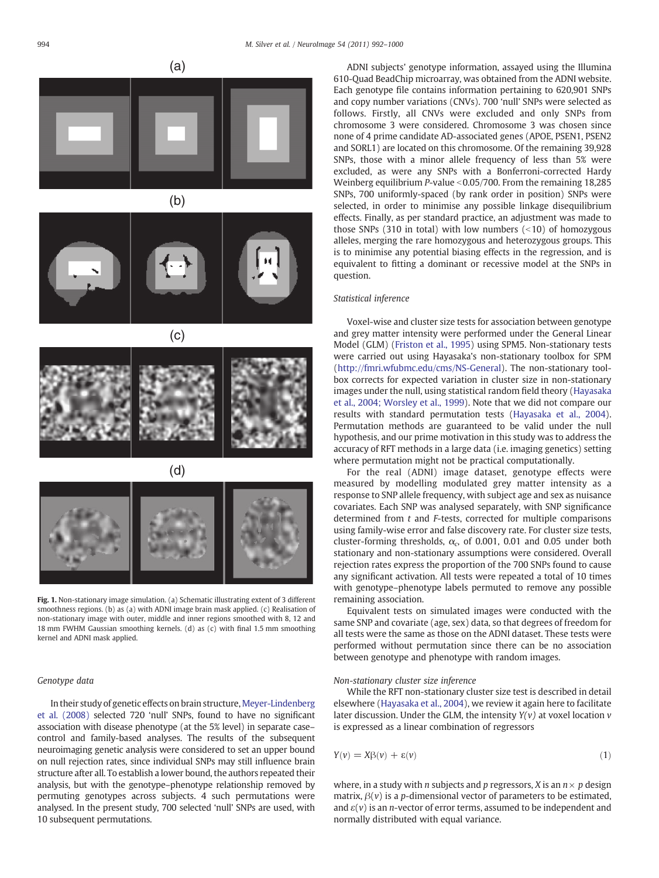<span id="page-2-0"></span>





Fig. 1. Non-stationary image simulation. (a) Schematic illustrating extent of 3 different smoothness regions. (b) as (a) with ADNI image brain mask applied. (c) Realisation of non-stationary image with outer, middle and inner regions smoothed with 8, 12 and 18 mm FWHM Gaussian smoothing kernels. (d) as (c) with final 1.5 mm smoothing kernel and ADNI mask applied.

#### Genotype data

In their study of genetic effects on brain structure, [Meyer-Lindenberg](#page-8-0) [et al. \(2008\)](#page-8-0) selected 720 'null' SNPs, found to have no significant association with disease phenotype (at the 5% level) in separate case– control and family-based analyses. The results of the subsequent neuroimaging genetic analysis were considered to set an upper bound on null rejection rates, since individual SNPs may still influence brain structure after all. To establish a lower bound, the authors repeated their analysis, but with the genotype–phenotype relationship removed by permuting genotypes across subjects. 4 such permutations were analysed. In the present study, 700 selected 'null' SNPs are used, with 10 subsequent permutations.

ADNI subjects' genotype information, assayed using the Illumina 610-Quad BeadChip microarray, was obtained from the ADNI website. Each genotype file contains information pertaining to 620,901 SNPs and copy number variations (CNVs). 700 'null' SNPs were selected as follows. Firstly, all CNVs were excluded and only SNPs from chromosome 3 were considered. Chromosome 3 was chosen since none of 4 prime candidate AD-associated genes (APOE, PSEN1, PSEN2 and SORL1) are located on this chromosome. Of the remaining 39,928 SNPs, those with a minor allele frequency of less than 5% were excluded, as were any SNPs with a Bonferroni-corrected Hardy Weinberg equilibrium P-value  $< 0.05/700$ . From the remaining 18,285 SNPs, 700 uniformly-spaced (by rank order in position) SNPs were selected, in order to minimise any possible linkage disequilibrium effects. Finally, as per standard practice, an adjustment was made to those SNPs (310 in total) with low numbers  $($  < 10) of homozygous alleles, merging the rare homozygous and heterozygous groups. This is to minimise any potential biasing effects in the regression, and is equivalent to fitting a dominant or recessive model at the SNPs in question.

#### Statistical inference

Voxel-wise and cluster size tests for association between genotype and grey matter intensity were performed under the General Linear Model (GLM) [\(Friston et al., 1995](#page-8-0)) using SPM5. Non-stationary tests were carried out using Hayasaka's non-stationary toolbox for SPM [\(http://fmri.wfubmc.edu/cms/NS-General](http://fmri.wfubmc.edu/cms/NS-General)). The non-stationary toolbox corrects for expected variation in cluster size in non-stationary images under the null, using statistical random field theory [\(Hayasaka](#page-8-0) [et al., 2004; Worsley et al., 1999\)](#page-8-0). Note that we did not compare our results with standard permutation tests ([Hayasaka et al., 2004](#page-8-0)). Permutation methods are guaranteed to be valid under the null hypothesis, and our prime motivation in this study was to address the accuracy of RFT methods in a large data (i.e. imaging genetics) setting where permutation might not be practical computationally.

For the real (ADNI) image dataset, genotype effects were measured by modelling modulated grey matter intensity as a response to SNP allele frequency, with subject age and sex as nuisance covariates. Each SNP was analysed separately, with SNP significance determined from  $t$  and  $F$ -tests, corrected for multiple comparisons using family-wise error and false discovery rate. For cluster size tests, cluster-forming thresholds,  $\alpha_c$ , of 0.001, 0.01 and 0.05 under both stationary and non-stationary assumptions were considered. Overall rejection rates express the proportion of the 700 SNPs found to cause any significant activation. All tests were repeated a total of 10 times with genotype–phenotype labels permuted to remove any possible remaining association.

Equivalent tests on simulated images were conducted with the same SNP and covariate (age, sex) data, so that degrees of freedom for all tests were the same as those on the ADNI dataset. These tests were performed without permutation since there can be no association between genotype and phenotype with random images.

#### Non-stationary cluster size inference

While the RFT non-stationary cluster size test is described in detail elsewhere [\(Hayasaka et al., 2004](#page-8-0)), we review it again here to facilitate later discussion. Under the GLM, the intensity  $Y(v)$  at voxel location  $v$ is expressed as a linear combination of regressors

$$
Y(v) = X\beta(v) + \varepsilon(v) \tag{1}
$$

where, in a study with *n* subjects and *p* regressors, *X* is an  $n \times p$  design matrix,  $\beta(v)$  is a *p*-dimensional vector of parameters to be estimated, and  $\varepsilon(v)$  is an *n*-vector of error terms, assumed to be independent and normally distributed with equal variance.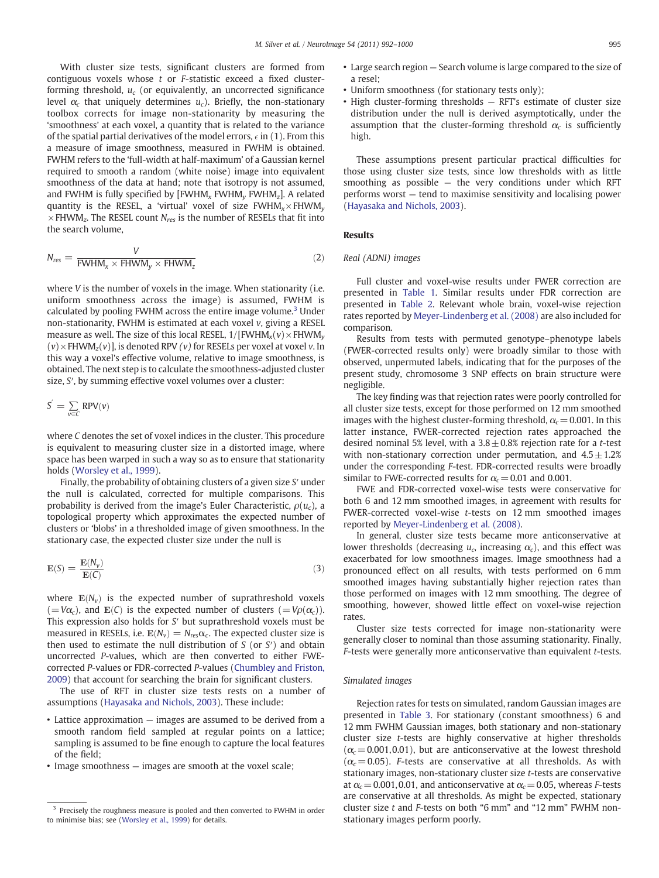With cluster size tests, significant clusters are formed from contiguous voxels whose t or F-statistic exceed a fixed clusterforming threshold,  $u_c$  (or equivalently, an uncorrected significance level  $\alpha_c$  that uniquely determines  $u_c$ ). Briefly, the non-stationary toolbox corrects for image non-stationarity by measuring the 'smoothness' at each voxel, a quantity that is related to the variance of the spatial partial derivatives of the model errors,  $\epsilon$  in (1). From this a measure of image smoothness, measured in FWHM is obtained. FWHM refers to the 'full-width at half-maximum' of a Gaussian kernel required to smooth a random (white noise) image into equivalent smoothness of the data at hand; note that isotropy is not assumed, and FWHM is fully specified by  $[FWHM<sub>x</sub> FWHM<sub>y</sub> FWHM<sub>z</sub>]$ . A related quantity is the RESEL, a 'virtual' voxel of size  $FWHM_x \times FHWM_y$  $\times$  FHWM<sub>z</sub>. The RESEL count N<sub>res</sub> is the number of RESELs that fit into the search volume,

$$
N_{res} = \frac{V}{FWHM_x \times FHWM_y \times FHWM_z}
$$
 (2)

where V is the number of voxels in the image. When stationarity (*i.e.*) uniform smoothness across the image) is assumed, FWHM is calculated by pooling FWHM across the entire image volume.<sup>3</sup> Under non-stationarity, FWHM is estimated at each voxel v, giving a RESEL measure as well. The size of this local RESEL,  $1/[FWHM_x(v) \times FHWM_v$  $(v)$  × FHWM<sub>z</sub> $(v)$ ], is denoted RPV  $(v)$  for RESELs per voxel at voxel v. In this way a voxel's effective volume, relative to image smoothness, is obtained. The next step is to calculate the smoothness-adjusted cluster size, S', by summing effective voxel volumes over a cluster:

$$
S^{'}=\sum_{\nu\in C}RPV(\nu)
$$

where C denotes the set of voxel indices in the cluster. This procedure is equivalent to measuring cluster size in a distorted image, where space has been warped in such a way so as to ensure that stationarity holds [\(Worsley et al., 1999\)](#page-8-0).

Finally, the probability of obtaining clusters of a given size S′ under the null is calculated, corrected for multiple comparisons. This probability is derived from the image's Euler Characteristic,  $\rho(u_c)$ , a topological property which approximates the expected number of clusters or 'blobs' in a thresholded image of given smoothness. In the stationary case, the expected cluster size under the null is

$$
E(S) = \frac{E(N_v)}{E(C)}
$$
(3)

where  $E(N_v)$  is the expected number of suprathreshold voxels  $(=V\alpha_c)$ , and  $\mathbf{E}(C)$  is the expected number of clusters  $(=V\rho(\alpha_c))$ . This expression also holds for S′ but suprathreshold voxels must be measured in RESELs, i.e.  $E(N_v) = N_{res} \alpha_c$ . The expected cluster size is then used to estimate the null distribution of  $S$  (or  $S'$ ) and obtain uncorrected P-values, which are then converted to either FWEcorrected P-values or FDR-corrected P-values ([Chumbley and Friston,](#page-8-0) [2009\)](#page-8-0) that account for searching the brain for significant clusters.

The use of RFT in cluster size tests rests on a number of assumptions [\(Hayasaka and Nichols, 2003](#page-8-0)). These include:

- Lattice approximation images are assumed to be derived from a smooth random field sampled at regular points on a lattice; sampling is assumed to be fine enough to capture the local features of the field;
- Image smoothness images are smooth at the voxel scale;
- Uniform smoothness (for stationary tests only);
- High cluster-forming thresholds RFT's estimate of cluster size distribution under the null is derived asymptotically, under the assumption that the cluster-forming threshold  $\alpha_c$  is sufficiently high.

These assumptions present particular practical difficulties for those using cluster size tests, since low thresholds with as little smoothing as possible  $-$  the very conditions under which RFT performs worst — tend to maximise sensitivity and localising power [\(Hayasaka and Nichols, 2003](#page-8-0)).

#### Results

#### Real (ADNI) images

Full cluster and voxel-wise results under FWER correction are presented in [Table 1.](#page-4-0) Similar results under FDR correction are presented in [Table 2](#page-4-0). Relevant whole brain, voxel-wise rejection rates reported by [Meyer-Lindenberg et al. \(2008\)](#page-8-0) are also included for comparison.

Results from tests with permuted genotype–phenotype labels (FWER-corrected results only) were broadly similar to those with observed, unpermuted labels, indicating that for the purposes of the present study, chromosome 3 SNP effects on brain structure were negligible.

The key finding was that rejection rates were poorly controlled for all cluster size tests, except for those performed on 12 mm smoothed images with the highest cluster-forming threshold,  $\alpha_c$  = 0.001. In this latter instance, FWER-corrected rejection rates approached the desired nominal 5% level, with a  $3.8 \pm 0.8$ % rejection rate for a t-test with non-stationary correction under permutation, and  $4.5 \pm 1.2$ % under the corresponding F-test. FDR-corrected results were broadly similar to FWE-corrected results for  $\alpha_c$  = 0.01 and 0.001.

FWE and FDR-corrected voxel-wise tests were conservative for both 6 and 12 mm smoothed images, in agreement with results for FWER-corrected voxel-wise t-tests on 12 mm smoothed images reported by [Meyer-Lindenberg et al. \(2008\).](#page-8-0)

In general, cluster size tests became more anticonservative at lower thresholds (decreasing  $u_c$ , increasing  $\alpha_c$ ), and this effect was exacerbated for low smoothness images. Image smoothness had a pronounced effect on all results, with tests performed on 6 mm smoothed images having substantially higher rejection rates than those performed on images with 12 mm smoothing. The degree of smoothing, however, showed little effect on voxel-wise rejection rates.

Cluster size tests corrected for image non-stationarity were generally closer to nominal than those assuming stationarity. Finally, F-tests were generally more anticonservative than equivalent t-tests.

#### Simulated images

Rejection rates for tests on simulated, random Gaussian images are presented in [Table 3](#page-4-0). For stationary (constant smoothness) 6 and 12 mm FWHM Gaussian images, both stationary and non-stationary cluster size t-tests are highly conservative at higher thresholds  $(\alpha_c = 0.001, 0.01)$ , but are anticonservative at the lowest threshold  $(\alpha_c = 0.05)$ . F-tests are conservative at all thresholds. As with stationary images, non-stationary cluster size t-tests are conservative at  $\alpha_c$  = 0.001, 0.01, and anticonservative at  $\alpha_c$  = 0.05, whereas F-tests are conservative at all thresholds. As might be expected, stationary cluster size t and F-tests on both "6 mm" and "12 mm" FWHM nonstationary images perform poorly.

<sup>&</sup>lt;sup>3</sup> Precisely the roughness measure is pooled and then converted to FWHM in order to minimise bias; see [\(Worsley et al., 1999](#page-8-0)) for details.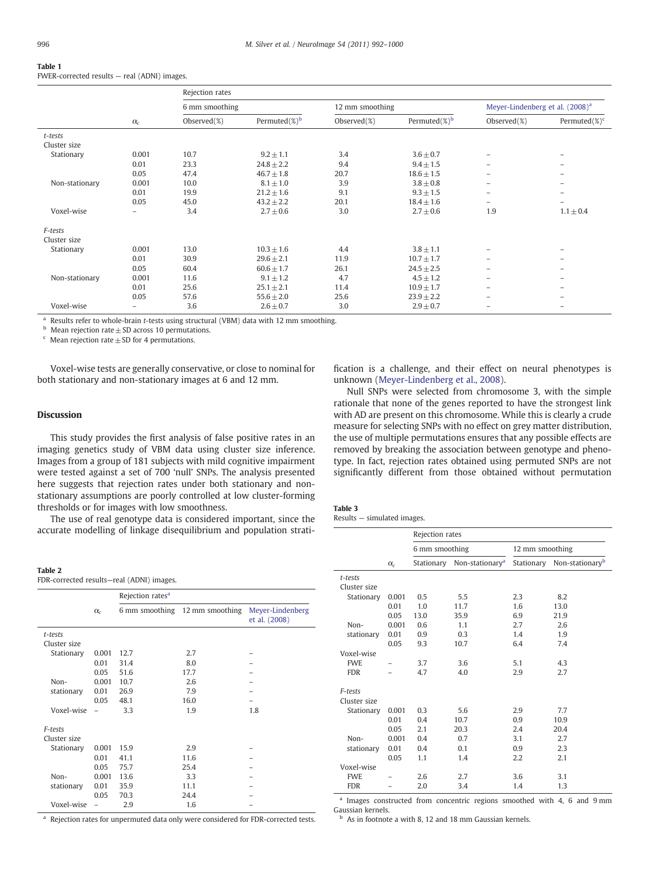## <span id="page-4-0"></span>Table 1

FWER-corrected results — real (ADNI) images.

|                |                          | Rejection rates |                   |                 |                   |                                             |                          |  |
|----------------|--------------------------|-----------------|-------------------|-----------------|-------------------|---------------------------------------------|--------------------------|--|
|                |                          | 6 mm smoothing  |                   | 12 mm smoothing |                   | Meyer-Lindenberg et al. (2008) <sup>a</sup> |                          |  |
|                | $\alpha_c$               | Observed $(\%)$ | Permuted $(\%)^b$ | Observed(%)     | Permuted $(\%)^b$ | Observed $(\%)$                             | Permuted $(\%)^c$        |  |
| t-tests        |                          |                 |                   |                 |                   |                                             |                          |  |
| Cluster size   |                          |                 |                   |                 |                   |                                             |                          |  |
| Stationary     | 0.001                    | 10.7            | $9.2 \pm 1.1$     | 3.4             | $3.6 \pm 0.7$     | -                                           | $\overline{\phantom{0}}$ |  |
|                | 0.01                     | 23.3            | $24.8 \pm 2.2$    | 9.4             | $9.4 \pm 1.5$     | $-$                                         | $\overline{\phantom{0}}$ |  |
|                | 0.05                     | 47.4            | $46.7 \pm 1.8$    | 20.7            | $18.6 \pm 1.5$    | $-$                                         | $\overline{\phantom{0}}$ |  |
| Non-stationary | 0.001                    | 10.0            | $8.1 \pm 1.0$     | 3.9             | $3.8 \pm 0.8$     | -                                           | $\overline{\phantom{0}}$ |  |
|                | 0.01                     | 19.9            | $21.2 \pm 1.6$    | 9.1             | $9.3 \pm 1.5$     | -                                           | $\overline{\phantom{0}}$ |  |
|                | 0.05                     | 45.0            | $43.2 \pm 2.2$    | 20.1            | $18.4 \pm 1.6$    | $-$                                         |                          |  |
| Voxel-wise     | $\overline{\phantom{0}}$ | 3.4             | $2.7 \pm 0.6$     | 3.0             | $2.7 \pm 0.6$     | 1.9                                         | $1.1 \pm 0.4$            |  |
| F-tests        |                          |                 |                   |                 |                   |                                             |                          |  |
| Cluster size   |                          |                 |                   |                 |                   |                                             |                          |  |
| Stationary     | 0.001                    | 13.0            | $10.3 \pm 1.6$    | 4.4             | $3.8 \pm 1.1$     | -                                           | $\equiv$                 |  |
|                | 0.01                     | 30.9            | $29.6 \pm 2.1$    | 11.9            | $10.7 \pm 1.7$    | -                                           | $\equiv$                 |  |
|                | 0.05                     | 60.4            | $60.6 \pm 1.7$    | 26.1            | $24.5 \pm 2.5$    | $-$                                         | $\overline{\phantom{0}}$ |  |
| Non-stationary | 0.001                    | 11.6            | $9.1 \pm 1.2$     | 4.7             | $4.5 \pm 1.2$     | -                                           | $\overline{\phantom{0}}$ |  |
|                | 0.01                     | 25.6            | $25.1 \pm 2.1$    | 11.4            | $10.9 \pm 1.7$    | -                                           | $\overline{\phantom{0}}$ |  |
|                | 0.05                     | 57.6            | $55.6 \pm 2.0$    | 25.6            | $23.9 \pm 2.2$    | $\equiv$                                    | $\overline{\phantom{0}}$ |  |
| Voxel-wise     | $\qquad \qquad -$        | 3.6             | $2.6 \pm 0.7$     | 3.0             | $2.9 \pm 0.7$     | -                                           | $\overline{\phantom{0}}$ |  |
|                |                          |                 |                   |                 |                   |                                             |                          |  |

<sup>a</sup> Results refer to whole-brain t-tests using structural (VBM) data with 12 mm smoothing.

 $<sup>b</sup>$  Mean rejection rate  $\pm$  SD across 10 permutations.</sup>

 $\epsilon$  Mean rejection rate  $\pm$  SD for 4 permutations.

Voxel-wise tests are generally conservative, or close to nominal for both stationary and non-stationary images at 6 and 12 mm.

#### Discussion

This study provides the first analysis of false positive rates in an imaging genetics study of VBM data using cluster size inference. Images from a group of 181 subjects with mild cognitive impairment were tested against a set of 700 'null' SNPs. The analysis presented here suggests that rejection rates under both stationary and nonstationary assumptions are poorly controlled at low cluster-forming thresholds or for images with low smoothness.

The use of real genotype data is considered important, since the accurate modelling of linkage disequilibrium and population strati-

| . .<br>$\sim$ |  |
|---------------|--|
|---------------|--|

FDR-corrected results—real (ADNI) images.

|              |                          | Rejection rates <sup>a</sup> |                 |                                   |
|--------------|--------------------------|------------------------------|-----------------|-----------------------------------|
|              | $\alpha_c$               | 6 mm smoothing               | 12 mm smoothing | Meyer-Lindenberg<br>et al. (2008) |
| t-tests      |                          |                              |                 |                                   |
| Cluster size |                          |                              |                 |                                   |
| Stationary   | 0.001                    | 12.7                         | 2.7             |                                   |
|              | 0.01                     | 31.4                         | 8.0             |                                   |
|              | 0.05                     | 51.6                         | 17.7            |                                   |
| Non-         | 0.001                    | 10.7                         | 2.6             |                                   |
| stationary   | 0.01                     | 26.9                         | 7.9             |                                   |
|              | 0.05                     | 48.1                         | 16.0            |                                   |
| Voxel-wise   |                          | 3.3                          | 1.9             | 1.8                               |
| F-tests      |                          |                              |                 |                                   |
| Cluster size |                          |                              |                 |                                   |
| Stationary   | 0.001                    | 15.9                         | 2.9             |                                   |
|              | 0.01                     | 41.1                         | 11.6            |                                   |
|              | 0.05                     | 75.7                         | 25.4            |                                   |
| Non-         | 0.001                    | 13.6                         | 3.3             |                                   |
| stationary   | 0.01                     | 35.9                         | 11.1            |                                   |
|              | 0.05                     | 70.3                         | 24.4            |                                   |
| Voxel-wise   | $\overline{\phantom{0}}$ | 2.9                          | 1.6             |                                   |

<sup>a</sup> Rejection rates for unpermuted data only were considered for FDR-corrected tests.

fication is a challenge, and their effect on neural phenotypes is unknown [\(Meyer-Lindenberg et al., 2008](#page-8-0)).

Null SNPs were selected from chromosome 3, with the simple rationale that none of the genes reported to have the strongest link with AD are present on this chromosome. While this is clearly a crude measure for selecting SNPs with no effect on grey matter distribution, the use of multiple permutations ensures that any possible effects are removed by breaking the association between genotype and phenotype. In fact, rejection rates obtained using permuted SNPs are not significantly different from those obtained without permutation

| Table 3 |                             |  |
|---------|-----------------------------|--|
|         | Results – simulated images. |  |

|                         |            | Rejection rates |                             |                 |                                        |
|-------------------------|------------|-----------------|-----------------------------|-----------------|----------------------------------------|
|                         |            | 6 mm smoothing  |                             | 12 mm smoothing |                                        |
|                         | $\alpha_c$ | Stationary      | Non-stationary <sup>a</sup> |                 | Stationary Non-stationary <sup>b</sup> |
| t-tests                 |            |                 |                             |                 |                                        |
| Cluster size            |            |                 |                             |                 |                                        |
| Stationary              | 0.001      | 0.5             | 5.5                         | 2.3             | 8.2                                    |
|                         | 0.01       | 1.0             | 11.7                        | 1.6             | 13.0                                   |
|                         | 0.05       | 13.0            | 35.9                        | 6.9             | 21.9                                   |
| Non-                    | 0.001      | 0.6             | 1.1                         | 2.7             | 2.6                                    |
| stationary              | 0.01       | 0.9             | 0.3                         | 1.4             | 1.9                                    |
|                         | 0.05       | 9.3             | 10.7                        | 6.4             | 7.4                                    |
| Voxel-wise              |            |                 |                             |                 |                                        |
| <b>FWE</b>              |            | 3.7             | 3.6                         | 5.1             | 4.3                                    |
| <b>FDR</b>              |            | 4.7             | 4.0                         | 2.9             | 2.7                                    |
|                         |            |                 |                             |                 |                                        |
| F-tests<br>Cluster size |            |                 |                             |                 |                                        |
| Stationary              | 0.001      | 0.3             | 5.6                         | 2.9             | 7.7                                    |
|                         | 0.01       | 0.4             | 10.7                        | 0.9             | 10.9                                   |
|                         | 0.05       | 2.1             | 20.3                        | 2.4             | 20.4                                   |
| Non-                    | 0.001      | 0.4             | 0.7                         | 3.1             | 2.7                                    |
| stationary              | 0.01       | 0.4             | 0.1                         | 0.9             | 2.3                                    |
|                         | 0.05       | 1.1             | 1.4                         | 2.2             | 2.1                                    |
| Voxel-wise              |            |                 |                             |                 |                                        |
| <b>FWE</b>              |            | 2.6             | 2.7                         | 3.6             | 3.1                                    |
| <b>FDR</b>              |            | 2.0             | 3.4                         | 1.4             | 1.3                                    |
|                         |            |                 |                             |                 |                                        |

<sup>a</sup> Images constructed from concentric regions smoothed with 4, 6 and 9 mm Gaussian kernels.

 $<sup>b</sup>$  As in footnote a with 8, 12 and 18 mm Gaussian kernels.</sup>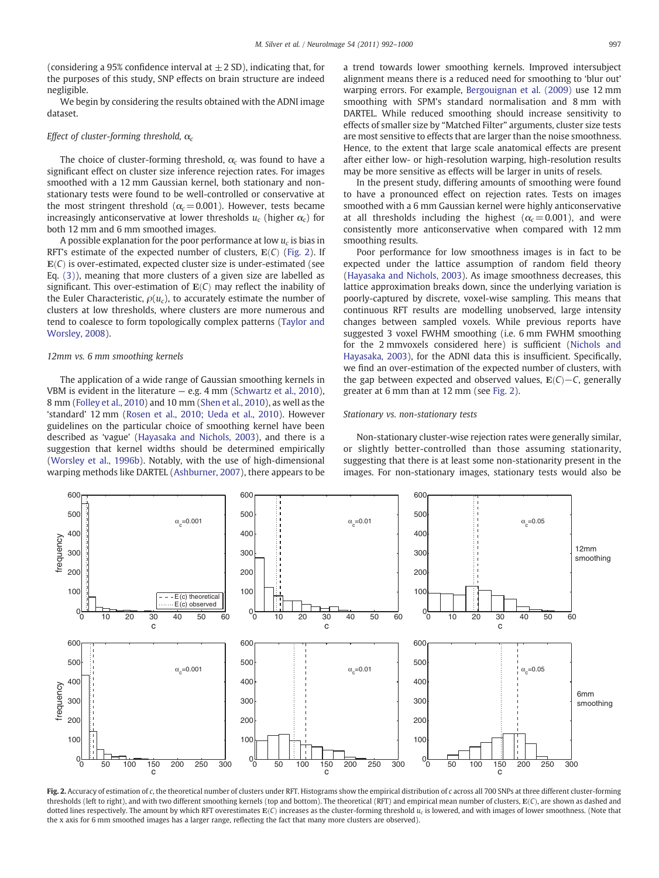<span id="page-5-0"></span>(considering a 95% confidence interval at  $\pm$  2 SD), indicating that, for the purposes of this study, SNP effects on brain structure are indeed negligible.

We begin by considering the results obtained with the ADNI image dataset.

#### Effect of cluster-forming threshold,  $\alpha_c$

The choice of cluster-forming threshold,  $\alpha_c$  was found to have a significant effect on cluster size inference rejection rates. For images smoothed with a 12 mm Gaussian kernel, both stationary and nonstationary tests were found to be well-controlled or conservative at the most stringent threshold ( $\alpha_c$  = 0.001). However, tests became increasingly anticonservative at lower thresholds  $u_c$  (higher  $\alpha_c$ ) for both 12 mm and 6 mm smoothed images.

A possible explanation for the poor performance at low  $u_c$  is bias in RFT's estimate of the expected number of clusters,  $E(C)$  (Fig. 2). If  $E(C)$  is over-estimated, expected cluster size is under-estimated (see Eq. (3)), meaning that more clusters of a given size are labelled as significant. This over-estimation of  $E(C)$  may reflect the inability of the Euler Characteristic,  $\rho(u_c)$ , to accurately estimate the number of clusters at low thresholds, where clusters are more numerous and tend to coalesce to form topologically complex patterns [\(Taylor and](#page-8-0) [Worsley, 2008](#page-8-0)).

#### 12mm vs. 6 mm smoothing kernels

The application of a wide range of Gaussian smoothing kernels in VBM is evident in the literature  $-$  e.g. 4 mm ([Schwartz et al., 2010](#page-8-0)), 8 mm ([Folley et al., 2010](#page-8-0)) and 10 mm [\(Shen et al., 2010](#page-8-0)), as well as the 'standard' 12 mm [\(Rosen et al., 2010; Ueda et al., 2010\)](#page-8-0). However guidelines on the particular choice of smoothing kernel have been described as 'vague' ([Hayasaka and Nichols, 2003\)](#page-8-0), and there is a suggestion that kernel widths should be determined empirically [\(Worsley et al., 1996b](#page-8-0)). Notably, with the use of high-dimensional warping methods like DARTEL [\(Ashburner, 2007](#page-7-0)), there appears to be a trend towards lower smoothing kernels. Improved intersubject alignment means there is a reduced need for smoothing to 'blur out' warping errors. For example, [Bergouignan et al. \(2009\)](#page-7-0) use 12 mm smoothing with SPM's standard normalisation and 8 mm with DARTEL. While reduced smoothing should increase sensitivity to effects of smaller size by "Matched Filter" arguments, cluster size tests are most sensitive to effects that are larger than the noise smoothness. Hence, to the extent that large scale anatomical effects are present after either low- or high-resolution warping, high-resolution results may be more sensitive as effects will be larger in units of resels.

In the present study, differing amounts of smoothing were found to have a pronounced effect on rejection rates. Tests on images smoothed with a 6 mm Gaussian kernel were highly anticonservative at all thresholds including the highest ( $\alpha_c$  = 0.001), and were consistently more anticonservative when compared with 12 mm smoothing results.

Poor performance for low smoothness images is in fact to be expected under the lattice assumption of random field theory [\(Hayasaka and Nichols, 2003](#page-8-0)). As image smoothness decreases, this lattice approximation breaks down, since the underlying variation is poorly-captured by discrete, voxel-wise sampling. This means that continuous RFT results are modelling unobserved, large intensity changes between sampled voxels. While previous reports have suggested 3 voxel FWHM smoothing (i.e. 6 mm FWHM smoothing for the 2 mmvoxels considered here) is sufficient ([Nichols and](#page-8-0) [Hayasaka, 2003](#page-8-0)), for the ADNI data this is insufficient. Specifically, we find an over-estimation of the expected number of clusters, with the gap between expected and observed values,  $E(C) - C$ , generally greater at 6 mm than at 12 mm (see Fig. 2).

#### Stationary vs. non-stationary tests

Non-stationary cluster-wise rejection rates were generally similar, or slightly better-controlled than those assuming stationarity, suggesting that there is at least some non-stationarity present in the images. For non-stationary images, stationary tests would also be



Fig. 2. Accuracy of estimation of c, the theoretical number of clusters under RFT. Histograms show the empirical distribution of c across all 700 SNPs at three different cluster-forming thresholds (left to right), and with two different smoothing kernels (top and bottom). The theoretical (RFT) and empirical mean number of clusters, E(C), are shown as dashed and dotted lines respectively. The amount by which RFT overestimates  $E(C)$  increases as the cluster-forming threshold  $u_c$  is lowered, and with images of lower smoothness. (Note that the x axis for 6 mm smoothed images has a larger range, reflecting the fact that many more clusters are observed).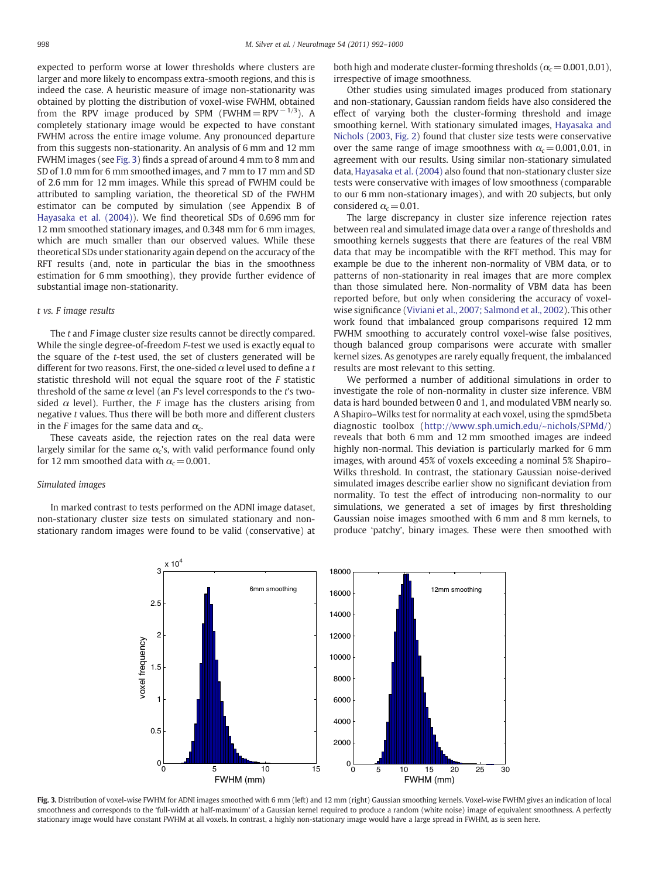expected to perform worse at lower thresholds where clusters are larger and more likely to encompass extra-smooth regions, and this is indeed the case. A heuristic measure of image non-stationarity was obtained by plotting the distribution of voxel-wise FWHM, obtained from the RPV image produced by SPM (FWHM = RPV  $^{-1/3}$ ). A completely stationary image would be expected to have constant FWHM across the entire image volume. Any pronounced departure from this suggests non-stationarity. An analysis of 6 mm and 12 mm FWHM images (see Fig. 3) finds a spread of around 4 mm to 8 mm and SD of 1.0 mm for 6 mm smoothed images, and 7 mm to 17 mm and SD of 2.6 mm for 12 mm images. While this spread of FWHM could be attributed to sampling variation, the theoretical SD of the FWHM estimator can be computed by simulation (see Appendix B of [Hayasaka et al. \(2004\)\)](#page-8-0). We find theoretical SDs of 0.696 mm for 12 mm smoothed stationary images, and 0.348 mm for 6 mm images, which are much smaller than our observed values. While these theoretical SDs under stationarity again depend on the accuracy of the RFT results (and, note in particular the bias in the smoothness estimation for 6 mm smoothing), they provide further evidence of substantial image non-stationarity.

#### t vs. F image results

The t and F image cluster size results cannot be directly compared. While the single degree-of-freedom F-test we used is exactly equal to the square of the t-test used, the set of clusters generated will be different for two reasons. First, the one-sided  $\alpha$  level used to define a t statistic threshold will not equal the square root of the F statistic threshold of the same  $\alpha$  level (an F's level corresponds to the t's twosided  $\alpha$  level). Further, the F image has the clusters arising from negative t values. Thus there will be both more and different clusters in the F images for the same data and  $\alpha_c$ .

These caveats aside, the rejection rates on the real data were largely similar for the same  $\alpha_c$ 's, with valid performance found only for 12 mm smoothed data with  $\alpha_c$  = 0.001.

#### Simulated images

In marked contrast to tests performed on the ADNI image dataset, non-stationary cluster size tests on simulated stationary and nonstationary random images were found to be valid (conservative) at both high and moderate cluster-forming thresholds ( $\alpha_c$  = 0.001,0.01), irrespective of image smoothness.

Other studies using simulated images produced from stationary and non-stationary, Gaussian random fields have also considered the effect of varying both the cluster-forming threshold and image smoothing kernel. With stationary simulated images, [Hayasaka and](#page-8-0) [Nichols \(2003,](#page-8-0) [Fig. 2\)](#page-5-0) found that cluster size tests were conservative over the same range of image smoothness with  $\alpha_c$  = 0.001, 0.01, in agreement with our results. Using similar non-stationary simulated data, [Hayasaka et al. \(2004\)](#page-8-0) also found that non-stationary cluster size tests were conservative with images of low smoothness (comparable to our 6 mm non-stationary images), and with 20 subjects, but only considered  $\alpha_c$  = 0.01.

The large discrepancy in cluster size inference rejection rates between real and simulated image data over a range of thresholds and smoothing kernels suggests that there are features of the real VBM data that may be incompatible with the RFT method. This may for example be due to the inherent non-normality of VBM data, or to patterns of non-stationarity in real images that are more complex than those simulated here. Non-normality of VBM data has been reported before, but only when considering the accuracy of voxelwise significance ([Viviani et al., 2007; Salmond et al., 2002\)](#page-8-0). This other work found that imbalanced group comparisons required 12 mm FWHM smoothing to accurately control voxel-wise false positives, though balanced group comparisons were accurate with smaller kernel sizes. As genotypes are rarely equally frequent, the imbalanced results are most relevant to this setting.

We performed a number of additional simulations in order to investigate the role of non-normality in cluster size inference. VBM data is hard bounded between 0 and 1, and modulated VBM nearly so. A Shapiro–Wilks test for normality at each voxel, using the spmd5beta diagnostic toolbox (<http://www.sph.umich.edu/~nichols/SPMd/>) reveals that both 6 mm and 12 mm smoothed images are indeed highly non-normal. This deviation is particularly marked for 6 mm images, with around 45% of voxels exceeding a nominal 5% Shapiro– Wilks threshold. In contrast, the stationary Gaussian noise-derived simulated images describe earlier show no significant deviation from normality. To test the effect of introducing non-normality to our simulations, we generated a set of images by first thresholding Gaussian noise images smoothed with 6 mm and 8 mm kernels, to produce 'patchy', binary images. These were then smoothed with



Fig. 3. Distribution of voxel-wise FWHM for ADNI images smoothed with 6 mm (left) and 12 mm (right) Gaussian smoothing kernels. Voxel-wise FWHM gives an indication of local smoothness and corresponds to the 'full-width at half-maximum' of a Gaussian kernel required to produce a random (white noise) image of equivalent smoothness. A perfectly stationary image would have constant FWHM at all voxels. In contrast, a highly non-stationary image would have a large spread in FWHM, as is seen here.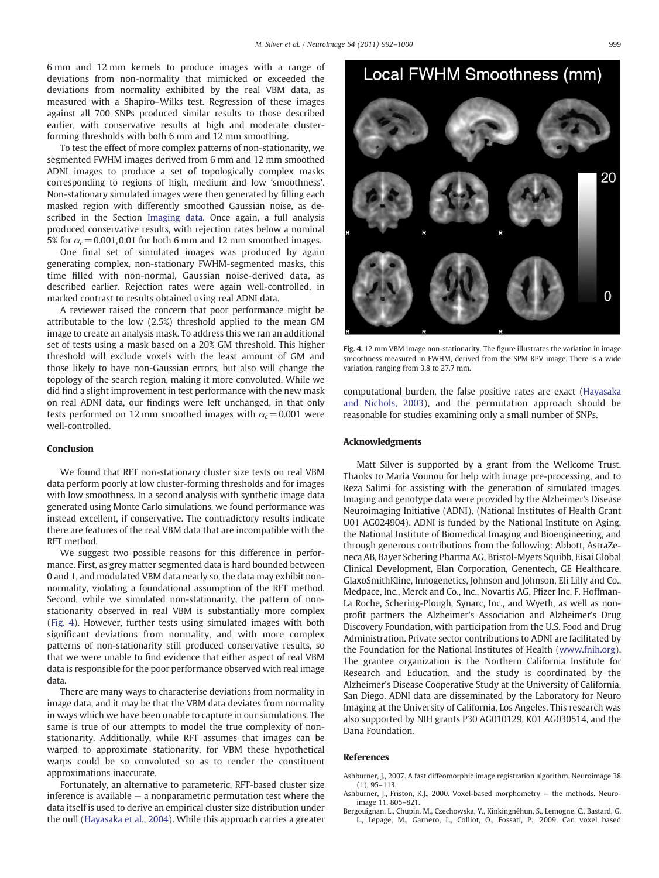<span id="page-7-0"></span>6 mm and 12 mm kernels to produce images with a range of deviations from non-normality that mimicked or exceeded the deviations from normality exhibited by the real VBM data, as measured with a Shapiro–Wilks test. Regression of these images against all 700 SNPs produced similar results to those described earlier, with conservative results at high and moderate clusterforming thresholds with both 6 mm and 12 mm smoothing.

To test the effect of more complex patterns of non-stationarity, we segmented FWHM images derived from 6 mm and 12 mm smoothed ADNI images to produce a set of topologically complex masks corresponding to regions of high, medium and low 'smoothness'. Non-stationary simulated images were then generated by filling each masked region with differently smoothed Gaussian noise, as described in the Section [Imaging data](#page-1-0). Once again, a full analysis produced conservative results, with rejection rates below a nominal 5% for  $\alpha_c$  = 0.001,0.01 for both 6 mm and 12 mm smoothed images.

One final set of simulated images was produced by again generating complex, non-stationary FWHM-segmented masks, this time filled with non-normal, Gaussian noise-derived data, as described earlier. Rejection rates were again well-controlled, in marked contrast to results obtained using real ADNI data.

A reviewer raised the concern that poor performance might be attributable to the low (2.5%) threshold applied to the mean GM image to create an analysis mask. To address this we ran an additional set of tests using a mask based on a 20% GM threshold. This higher threshold will exclude voxels with the least amount of GM and those likely to have non-Gaussian errors, but also will change the topology of the search region, making it more convoluted. While we did find a slight improvement in test performance with the new mask on real ADNI data, our findings were left unchanged, in that only tests performed on 12 mm smoothed images with  $\alpha_c$  = 0.001 were well-controlled.

#### Conclusion

We found that RFT non-stationary cluster size tests on real VBM data perform poorly at low cluster-forming thresholds and for images with low smoothness. In a second analysis with synthetic image data generated using Monte Carlo simulations, we found performance was instead excellent, if conservative. The contradictory results indicate there are features of the real VBM data that are incompatible with the RFT method.

We suggest two possible reasons for this difference in performance. First, as grey matter segmented data is hard bounded between 0 and 1, and modulated VBM data nearly so, the data may exhibit nonnormality, violating a foundational assumption of the RFT method. Second, while we simulated non-stationarity, the pattern of nonstationarity observed in real VBM is substantially more complex (Fig. 4). However, further tests using simulated images with both significant deviations from normality, and with more complex patterns of non-stationarity still produced conservative results, so that we were unable to find evidence that either aspect of real VBM data is responsible for the poor performance observed with real image data.

There are many ways to characterise deviations from normality in image data, and it may be that the VBM data deviates from normality in ways which we have been unable to capture in our simulations. The same is true of our attempts to model the true complexity of nonstationarity. Additionally, while RFT assumes that images can be warped to approximate stationarity, for VBM these hypothetical warps could be so convoluted so as to render the constituent approximations inaccurate.

Fortunately, an alternative to parameteric, RFT-based cluster size inference is available — a nonparametric permutation test where the data itself is used to derive an empirical cluster size distribution under the null [\(Hayasaka et al., 2004](#page-8-0)). While this approach carries a greater



Local FWHM Smoothness (mm)

Fig. 4. 12 mm VBM image non-stationarity. The figure illustrates the variation in image smoothness measured in FWHM, derived from the SPM RPV image. There is a wide variation, ranging from 3.8 to 27.7 mm.

computational burden, the false positive rates are exact [\(Hayasaka](#page-8-0) [and Nichols, 2003](#page-8-0)), and the permutation approach should be reasonable for studies examining only a small number of SNPs.

#### Acknowledgments

Matt Silver is supported by a grant from the Wellcome Trust. Thanks to Maria Vounou for help with image pre-processing, and to Reza Salimi for assisting with the generation of simulated images. Imaging and genotype data were provided by the Alzheimer's Disease Neuroimaging Initiative (ADNI). (National Institutes of Health Grant U01 AG024904). ADNI is funded by the National Institute on Aging, the National Institute of Biomedical Imaging and Bioengineering, and through generous contributions from the following: Abbott, AstraZeneca AB, Bayer Schering Pharma AG, Bristol-Myers Squibb, Eisai Global Clinical Development, Elan Corporation, Genentech, GE Healthcare, GlaxoSmithKline, Innogenetics, Johnson and Johnson, Eli Lilly and Co., Medpace, Inc., Merck and Co., Inc., Novartis AG, Pfizer Inc, F. Hoffman-La Roche, Schering-Plough, Synarc, Inc., and Wyeth, as well as nonprofit partners the Alzheimer's Association and Alzheimer's Drug Discovery Foundation, with participation from the U.S. Food and Drug Administration. Private sector contributions to ADNI are facilitated by the Foundation for the National Institutes of Health ([www.fnih.org](http://www.fnih.org)). The grantee organization is the Northern California Institute for Research and Education, and the study is coordinated by the Alzheimer's Disease Cooperative Study at the University of California, San Diego. ADNI data are disseminated by the Laboratory for Neuro Imaging at the University of California, Los Angeles. This research was also supported by NIH grants P30 AG010129, K01 AG030514, and the Dana Foundation.

#### References

Ashburner, J., 2007. A fast diffeomorphic image registration algorithm. Neuroimage 38 (1), 95–113.

Ashburner, J., Friston, K.J., 2000. Voxel-based morphometry — the methods. Neuroimage 11, 805–821.

Bergouignan, L., Chupin, M., Czechowska, Y., Kinkingnéhun, S., Lemogne, C., Bastard, G. L., Lepage, M., Garnero, L., Colliot, O., Fossati, P., 2009. Can voxel based